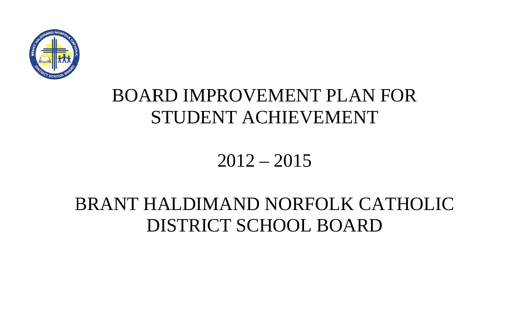

# 2012 – 2015

# BRANT HALDIMAND NORFOLK CATHOLIC DISTRICT SCHOOL BOARD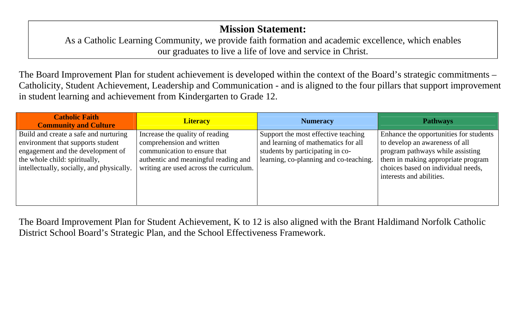### **Mission Statement:**

As a Catholic Learning Community, we provide faith formation and academic excellence, which enables ou r graduates to live a life of love and service in Christ.

The Board Improvement Plan for student achievement is developed within the context of the Board's strategic commitments – Catholicity, Student Achievement, Leadership and Communication - and is aligned to the four pillars that support improvement in student learning and achievement from Kindergarten to Grade 12.

| <b>Catholic Faith</b><br><b>Community and Culture</b>                                                                                                                                         | <b>Literacy</b>                                                                                                                                                                 | <b>Numeracy</b>                                                                                                                                          | <b>Pathways</b>                                                                                                                                                                                                      |
|-----------------------------------------------------------------------------------------------------------------------------------------------------------------------------------------------|---------------------------------------------------------------------------------------------------------------------------------------------------------------------------------|----------------------------------------------------------------------------------------------------------------------------------------------------------|----------------------------------------------------------------------------------------------------------------------------------------------------------------------------------------------------------------------|
| Build and create a safe and nurturing<br>environment that supports student<br>engagement and the development of<br>the whole child: spiritually,<br>intellectually, socially, and physically. | Increase the quality of reading<br>comprehension and written<br>communication to ensure that<br>authentic and meaningful reading and<br>writing are used across the curriculum. | Support the most effective teaching<br>and learning of mathematics for all<br>students by participating in co-<br>learning, co-planning and co-teaching. | Enhance the opportunities for students<br>to develop an awareness of all<br>program pathways while assisting<br>them in making appropriate program<br>choices based on individual needs,<br>interests and abilities. |

The Board Improvement Plan for Student Achievement, K to 12 is also aligned with the Brant Haldimand Norfolk Catholic District School Board's Strategic Plan, and the School Effectiveness Framework.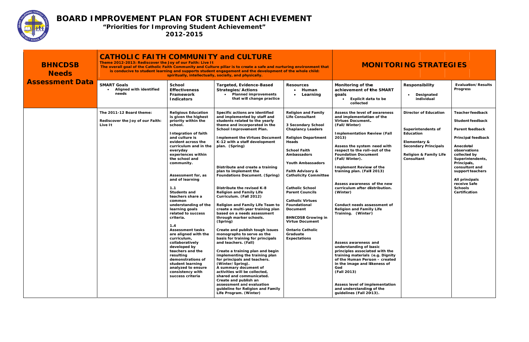

| <b>BHNCDSB</b><br><b>Needs</b><br><b>Assessment Data</b> | <b>CATHOLIC FAITH COMMUNITY and CULTURE</b><br>Theme 2012-2013: Rediscover the Joy of our Faith: Live It<br><b>MONITORING STRATEGIES</b><br>The overall goal of the Catholic Faith Community and Culture pillar is to create a safe and nurturing environment that<br>is conducive to student learning and supports student engagement and the development of the whole child:<br>spiritually, intellectually, socially, and physically. |                                                                                                                                                                                                                                                                                                                                                                                                                                                                                                                                                                                                                                                                                              |                                                                                                                                                                                                                                                                                                                                                                                                                                                                                                                                                                                                                                                                                                                                                                                                                                                                                                                                                                                                                                                                                |                                                                                                                                                                                                                                                                                                                                                                                                                                                                                                            |                                                                                                                                                                                                                                                                                                                                                                                                                                                                                                                                                                                                                                                                                                                                                                                                                      |                                                                                                                                                                   |                                                                                                                                                                                                                                                                                        |  |  |
|----------------------------------------------------------|------------------------------------------------------------------------------------------------------------------------------------------------------------------------------------------------------------------------------------------------------------------------------------------------------------------------------------------------------------------------------------------------------------------------------------------|----------------------------------------------------------------------------------------------------------------------------------------------------------------------------------------------------------------------------------------------------------------------------------------------------------------------------------------------------------------------------------------------------------------------------------------------------------------------------------------------------------------------------------------------------------------------------------------------------------------------------------------------------------------------------------------------|--------------------------------------------------------------------------------------------------------------------------------------------------------------------------------------------------------------------------------------------------------------------------------------------------------------------------------------------------------------------------------------------------------------------------------------------------------------------------------------------------------------------------------------------------------------------------------------------------------------------------------------------------------------------------------------------------------------------------------------------------------------------------------------------------------------------------------------------------------------------------------------------------------------------------------------------------------------------------------------------------------------------------------------------------------------------------------|------------------------------------------------------------------------------------------------------------------------------------------------------------------------------------------------------------------------------------------------------------------------------------------------------------------------------------------------------------------------------------------------------------------------------------------------------------------------------------------------------------|----------------------------------------------------------------------------------------------------------------------------------------------------------------------------------------------------------------------------------------------------------------------------------------------------------------------------------------------------------------------------------------------------------------------------------------------------------------------------------------------------------------------------------------------------------------------------------------------------------------------------------------------------------------------------------------------------------------------------------------------------------------------------------------------------------------------|-------------------------------------------------------------------------------------------------------------------------------------------------------------------|----------------------------------------------------------------------------------------------------------------------------------------------------------------------------------------------------------------------------------------------------------------------------------------|--|--|
|                                                          | <b>SMART Goals</b><br>Aligned with identified<br>needs                                                                                                                                                                                                                                                                                                                                                                                   | <b>School</b><br><b>Effectiveness</b><br>Framework<br><b>Indicators</b>                                                                                                                                                                                                                                                                                                                                                                                                                                                                                                                                                                                                                      | Targeted, Evidence-Based<br><b>Strategies/Actions</b><br>• Planned improvements<br>that will change practice                                                                                                                                                                                                                                                                                                                                                                                                                                                                                                                                                                                                                                                                                                                                                                                                                                                                                                                                                                   | <b>Resources</b><br>Human<br>Learning<br>$\bullet$                                                                                                                                                                                                                                                                                                                                                                                                                                                         | Monitoring of the<br>achievement of the SMART<br>goals<br>Explicit data to be<br>collected                                                                                                                                                                                                                                                                                                                                                                                                                                                                                                                                                                                                                                                                                                                           | <b>Responsibility</b><br>Designated<br>$\bullet$<br>individual                                                                                                    | <b>Evaluation/Results</b><br><b>Progress</b>                                                                                                                                                                                                                                           |  |  |
|                                                          | The 2011-12 Board theme:<br>Rediscover the Joy of our Faith:<br>Live It                                                                                                                                                                                                                                                                                                                                                                  | <b>Religious Education</b><br>is given the highest<br>priority within the<br>school.<br><b>Integration of faith</b><br>and culture is<br>evident across the<br>curriculum and in the<br>everyday<br>experiences within<br>the school and<br>community.<br>Assessment for, as<br>and of learning<br>1.1<br><b>Students and</b><br>teachers share a<br>common<br>understanding of the<br>learning goals<br>related to success<br>criteria.<br>1.4<br><b>Assessment tasks</b><br>are aligned with the<br>curriculum,<br>collaboratively<br>developed by<br>teachers and the<br>resulting<br>demonstrations of<br>student learning<br>analyzed to ensure<br>consistency with<br>success criteria | Specific actions are identified<br>and implemented by staff and<br>students related to the yearly<br>theme and incorporated in the<br>School Improvement Plan.<br><b>Implement the Virtues Document</b><br>K-12 with a staff development<br>plan. (Spring)<br>Distribute and create a training<br>plan to implement the<br><b>Foundations Document. (Spring)</b><br>Distribute the revised K-8<br><b>Religion and Family Life</b><br>Curriculum. (Fall 2012)<br>Religion and Family Life Team to<br>create a multi-year training plan<br>based on a needs assessment<br>through marker schools.<br>(Spring)<br>Create and publish tough issues<br>monographs to serve as the<br>basis for training for principals<br>and teachers. (Fall)<br>Create a training plan and begin<br>implementing the training plan<br>for principals and teachers.<br>(Winter/Spring).<br>A summary document of<br>activities will be collected,<br>shared and communicated.<br>Create and publish an<br>assessment and evaluation<br>guideline for Religion and Family<br>Life Program. (Winter) | <b>Religion and Family</b><br><b>Life Consultant</b><br>3 Secondary School<br><b>Chaplancy Leaders</b><br><b>Religion Department</b><br>Heads<br><b>School Faith</b><br><b>Ambassadors</b><br><b>Youth Ambassadors</b><br>Faith Advisory &<br><b>Catholicity Committee</b><br><b>Catholic School</b><br><b>Parent Councils</b><br><b>Catholic Virtues</b><br>Foundational<br>Document<br><b>BHNCDSB Growing in</b><br><b>Virtue Document</b><br><b>Ontario Catholic</b><br>Graduate<br><b>Expectations</b> | Assess the level of awareness<br>and implementation of the<br><b>Virtues Document</b><br>(Fall/Winter)<br><b>Implementation Review (Fall</b><br>2013)<br>Assess the system need with<br>respect to the roll-out of the<br><b>Foundation Document</b><br>(Fall/Winter).<br><b>Implement Review of the</b><br>training plan. (Fall 2013)<br>Assess awareness of the new<br>curriculum after distribution.<br>(Winter)<br>Conduct needs assessment of<br><b>Religion and Familly Life</b><br>Training. (Winter)<br>Assess awareness and<br>understanding of basic<br>principles associated with the<br>training materials (e.g. Dignity<br>of the Human Person - created<br>in the image and likeness of<br>God<br>(Fall 2013)<br>Assess level of implementation<br>and understanding of the<br>guidelines (Fall 2013). | <b>Director of Education</b><br>Superintendents of<br>Education<br>Elementary &<br><b>Secondary Principals</b><br><b>Religion &amp; Family Life</b><br>Consultant | <b>Teacher feedback</b><br><b>Student feedback</b><br>Parent feedback<br>Principal feedback<br>Anecdotal<br>observations<br>collected by<br>Superintendents,<br>Principals,<br>consultant and<br>support teachers<br>All principals<br>receive Safe<br><b>Schools</b><br>Certification |  |  |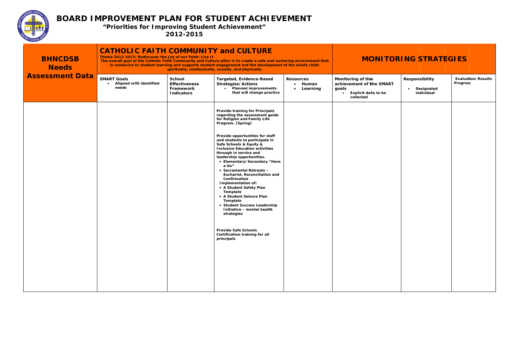

| <b>BHNCDSB</b><br><b>Needs</b> | <b>CATHOLIC FAITH COMMUNITY and CULTURE</b><br>Theme 2012-2013: Rediscover the Joy of our Faith: Live It |                                                                         | The overall goal of the Catholic Faith Community and Culture pillar is to create a safe and nurturing environment that<br>is conducive to student learning and supports student engagement and the development of the whole child:<br>spiritually, intellectually, socially, and physically.                                                                                                                                                                                                        | <b>MONITORING STRATEGIES</b>                         |                                                                                            |                                                                |                                              |
|--------------------------------|----------------------------------------------------------------------------------------------------------|-------------------------------------------------------------------------|-----------------------------------------------------------------------------------------------------------------------------------------------------------------------------------------------------------------------------------------------------------------------------------------------------------------------------------------------------------------------------------------------------------------------------------------------------------------------------------------------------|------------------------------------------------------|--------------------------------------------------------------------------------------------|----------------------------------------------------------------|----------------------------------------------|
| <b>Assessment Data</b>         | <b>SMART Goals</b><br>Aligned with identified<br>needs                                                   | <b>School</b><br><b>Effectiveness</b><br>Framework<br><b>Indicators</b> | Targeted, Evidence-Based<br><b>Strategies/Actions</b><br>• Planned improvements<br>that will change practice                                                                                                                                                                                                                                                                                                                                                                                        | <b>Resources</b><br>• Human<br>Learning<br>$\bullet$ | Monitoring of the<br>achievement of the SMART<br>goals<br>Explicit data to be<br>collected | <b>Responsibility</b><br>Designated<br>$\bullet$<br>individual | <b>Evaluation/Results</b><br><b>Progress</b> |
|                                |                                                                                                          |                                                                         | <b>Provide training for Principals</b><br>regarding the assessment guide<br>for Religion and Family Life<br>Program. (Spring)                                                                                                                                                                                                                                                                                                                                                                       |                                                      |                                                                                            |                                                                |                                              |
|                                |                                                                                                          |                                                                         | Provide opportunities for staff<br>and students to participate in<br>Safe Schools & Equity &<br><b>Inclusive Education activities</b><br>through in service and<br>leadership opportunities.<br>• Elementary/Secondary "Have<br>a Go"<br>• Sacramental Retreats -<br>Eucharist, Reconciliation and<br>Confirmation<br>Implementation of:<br>• A Student Safety Plan<br>Template<br>• A Student Seizure Plan<br>Template<br>• Student Success Leadership<br>Initiative - mental health<br>strategies |                                                      |                                                                                            |                                                                |                                              |
|                                |                                                                                                          |                                                                         | <b>Provide Safe Schools</b><br>Certification training for all<br>principals                                                                                                                                                                                                                                                                                                                                                                                                                         |                                                      |                                                                                            |                                                                |                                              |
|                                |                                                                                                          |                                                                         |                                                                                                                                                                                                                                                                                                                                                                                                                                                                                                     |                                                      |                                                                                            |                                                                |                                              |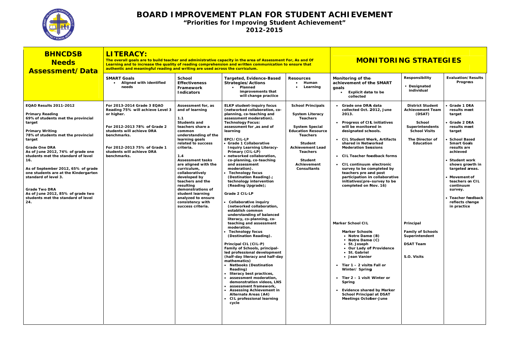

| Responsibility<br><b>Evaluation/Results</b><br><b>SMART Goals</b><br><b>School</b><br>Targeted, Evidence-Based<br>Monitoring of the<br><b>Resources</b><br>Progress<br>• Aligned with identified<br>• Human<br><b>Effectiveness</b><br>achievement of the SMART<br><b>Strategies/Actions</b><br>• Designated<br>needs<br>Learning<br>• Planned<br>Framework<br>goals<br>individual<br>improvements that<br>Explicit data to be<br><b>Indicators</b><br>will change practice<br>collected<br><b>EQAO Results 2011-2012</b><br>For 2013-2014 Grade 3 EQAO<br><b>ELKP student-inquiry focus</b><br><b>School Principals</b><br>Grade one DRA data<br><b>District Student</b><br><b>Grade 1 DRA</b><br>Assessment for, as<br>(networked collaboration, co-<br>Reading 75% will achieve Level 3<br>and of learning<br>collected Oct. 2012, June<br><b>Achievement Team</b><br>results meet<br><b>Primary Reading</b><br>or higher.<br>planning, co-teaching and<br><b>System Literacy</b><br>2013.<br>(DSAT)<br>target<br>assessment moderation).<br><b>Teachers</b><br>69% of students met the provincial<br>1.1<br>• Grade 2 DRA<br><b>Students and</b><br><b>Technology Focus:</b><br><b>Progress of CIL initiatives</b><br><b>School</b><br>target<br>For 2012-2013 78% of Grade 2<br>will be monitorred in<br>assessment for ,as and of<br><b>System Special</b><br><b>Superintendents</b><br>results meet<br>teachers share a<br><b>Education Resource</b><br>students will achieve DRA<br><b>School Visits</b><br><b>Primary Writing</b><br>learning<br>designated schools.<br>common<br>target<br>78% of students met the provincial<br>benchmarks.<br>understanding of the<br><b>Teachers</b><br>learning goals<br>EPCI/CIL-LP<br>The Director of<br><b>CIL Student Work, Artifacts</b><br><b>School Based</b><br>target<br>shared in Networked<br><b>Smart Goals</b><br>related to success<br>• Grade 1 Collaborative<br><b>Student</b><br>Education<br>For 2012-2013 75% of Grade 1<br><b>Achievement Lead</b><br>results are<br><b>Grade One DRA</b><br>criteria.<br><b>Moderation Sessions</b><br><b>Inquiry Learning Literacy-</b><br>As of June 2012, 74% of grade one<br>students will achieve DRA<br>Primary (CIL-LP)<br>achieved<br><b>Teachers</b><br>1.4<br>students met the standard of level<br>benchmarks.<br>• networked collaboration,<br>CIL Teacher feedback forms<br>16.<br><b>Assessment tasks</b><br><b>Student</b><br>Student work<br>co-planning, co-teaching<br>are aligned with the<br>and assessment<br>Achievement<br>• CIL continuum electronic<br>shows growth in<br>As of September 2012, 65% of grade<br>curriculum,<br>moderation).<br>Consultants<br>survey to be completed by<br>targeted areas.<br>one students are at the Kindergarten<br>teachers pre and post<br>collaboratively<br>• Technology focus<br>(Destination Reading).;<br>participation in collaborative<br>standard of level 3.<br>developed by<br>Movement of<br>initiatives (pre-survey to be<br>teachers on CIL<br>teachers and the<br>technology intervention<br>(Reading Upgrade);<br>completed on Nov. 16)<br>continuum<br>resulting<br><b>Grade Two DRA</b><br>demonstrations of<br>survey.<br>As of June 2012, 85% of grade two<br>student learning<br>Grade 2 CIL-LP<br>students met the standard of level<br>analyzed to ensure<br>Teacher feedback<br>24.<br>consistency with<br>• Collaborative inquiry<br>reflects change<br>(networked collaboration,<br>success criteria.<br>in practice<br>establish common<br>understanding of balanced<br>literacy, co-planning, co-<br>teaching and assessment<br><b>Marker School CIL</b><br>Principal<br>moderation.<br>Technology focus<br><b>Marker Schools</b><br><b>Family of Schools</b><br>(Destination Reading).<br>• Notre Dame (B)<br>Superintendent<br>• Notre Dame (C)<br><b>DSAT Team</b><br>Principal CIL (CIL-P)<br>• St. Joseph<br>Family of Schools, principal-<br>• Our Lady off Providence<br>led professional development<br>• St. Gabriel<br>• Jean Vanier<br>S.O. Visits<br>(half-day literacy and half-day<br>mathematics)<br>• Netbooks (Destination<br>• Tier $1 - 2$ visits Fall or<br>Reading)<br>Winter/ Spring<br>· literacy best practices,<br>· assessment moderation,<br>• Tier $2 - 1$ visit Winter or<br>demonstration videos, LNS<br>Spring<br>• assessment framework,<br>• Assessing Achievement in<br>Evidence shared by Marker<br><b>School Principal at DSAT</b><br><b>Alternate Areas (A4)</b><br>• CIL professional learning<br><b>Meetings October-June</b><br>cycle | <b>BHNCDSB</b><br><b>Needs</b><br><b>Assessment/Data</b> | <b>LITERACY:</b> | <b>MONITORING STRATEGIES</b><br>The overall goals are to build teacher and administrative capacity in the area of Assessment For, As and Of<br>Learning and to increase the quality of reading comprehension and written communication to ensure that<br>authentic and meaningful reading and writing are used across the curriculum. |  |  |  |  |  |
|--------------------------------------------------------------------------------------------------------------------------------------------------------------------------------------------------------------------------------------------------------------------------------------------------------------------------------------------------------------------------------------------------------------------------------------------------------------------------------------------------------------------------------------------------------------------------------------------------------------------------------------------------------------------------------------------------------------------------------------------------------------------------------------------------------------------------------------------------------------------------------------------------------------------------------------------------------------------------------------------------------------------------------------------------------------------------------------------------------------------------------------------------------------------------------------------------------------------------------------------------------------------------------------------------------------------------------------------------------------------------------------------------------------------------------------------------------------------------------------------------------------------------------------------------------------------------------------------------------------------------------------------------------------------------------------------------------------------------------------------------------------------------------------------------------------------------------------------------------------------------------------------------------------------------------------------------------------------------------------------------------------------------------------------------------------------------------------------------------------------------------------------------------------------------------------------------------------------------------------------------------------------------------------------------------------------------------------------------------------------------------------------------------------------------------------------------------------------------------------------------------------------------------------------------------------------------------------------------------------------------------------------------------------------------------------------------------------------------------------------------------------------------------------------------------------------------------------------------------------------------------------------------------------------------------------------------------------------------------------------------------------------------------------------------------------------------------------------------------------------------------------------------------------------------------------------------------------------------------------------------------------------------------------------------------------------------------------------------------------------------------------------------------------------------------------------------------------------------------------------------------------------------------------------------------------------------------------------------------------------------------------------------------------------------------------------------------------------------------------------------------------------------------------------------------------------------------------------------------------------------------------------------------------------------------------------------------------------------------------------------------------------------------------------------------------------------------------------------------------------------------------------------------------------------------------------------------------------------------------------------------------------------------------------------------------------------------------------------------------------------------------------------------------------------------------------------------------------------------------------------------------------------------------------------------------------------|----------------------------------------------------------|------------------|---------------------------------------------------------------------------------------------------------------------------------------------------------------------------------------------------------------------------------------------------------------------------------------------------------------------------------------|--|--|--|--|--|
|                                                                                                                                                                                                                                                                                                                                                                                                                                                                                                                                                                                                                                                                                                                                                                                                                                                                                                                                                                                                                                                                                                                                                                                                                                                                                                                                                                                                                                                                                                                                                                                                                                                                                                                                                                                                                                                                                                                                                                                                                                                                                                                                                                                                                                                                                                                                                                                                                                                                                                                                                                                                                                                                                                                                                                                                                                                                                                                                                                                                                                                                                                                                                                                                                                                                                                                                                                                                                                                                                                                                                                                                                                                                                                                                                                                                                                                                                                                                                                                                                                                                                                                                                                                                                                                                                                                                                                                                                                                                                                                                                                          |                                                          |                  |                                                                                                                                                                                                                                                                                                                                       |  |  |  |  |  |
|                                                                                                                                                                                                                                                                                                                                                                                                                                                                                                                                                                                                                                                                                                                                                                                                                                                                                                                                                                                                                                                                                                                                                                                                                                                                                                                                                                                                                                                                                                                                                                                                                                                                                                                                                                                                                                                                                                                                                                                                                                                                                                                                                                                                                                                                                                                                                                                                                                                                                                                                                                                                                                                                                                                                                                                                                                                                                                                                                                                                                                                                                                                                                                                                                                                                                                                                                                                                                                                                                                                                                                                                                                                                                                                                                                                                                                                                                                                                                                                                                                                                                                                                                                                                                                                                                                                                                                                                                                                                                                                                                                          |                                                          |                  |                                                                                                                                                                                                                                                                                                                                       |  |  |  |  |  |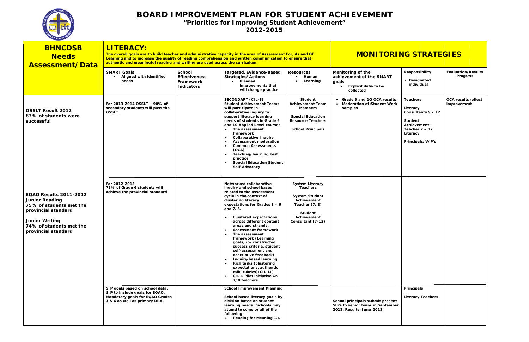

| <b>BHNCDSB</b><br><b>Needs</b><br>Assessment/Data                                                                                                                                   | <b>LITERACY:</b><br>The overall goals are to build teacher and administrative capacity in the area of Assessment For, As and Of<br>Learning and to increase the quality of reading comprehension and written communication to ensure that<br>authentic and meaningful reading and writing are used across the curriculum. |                                                                                                                                                                                                                                                                                                                                                                                                                                                                                                                                                                                                                                                                                                                                                                                                                                                  | <b>MONITORING STRATEGIES</b>                                                                            |                                                                                                                                                                                     |
|-------------------------------------------------------------------------------------------------------------------------------------------------------------------------------------|---------------------------------------------------------------------------------------------------------------------------------------------------------------------------------------------------------------------------------------------------------------------------------------------------------------------------|--------------------------------------------------------------------------------------------------------------------------------------------------------------------------------------------------------------------------------------------------------------------------------------------------------------------------------------------------------------------------------------------------------------------------------------------------------------------------------------------------------------------------------------------------------------------------------------------------------------------------------------------------------------------------------------------------------------------------------------------------------------------------------------------------------------------------------------------------|---------------------------------------------------------------------------------------------------------|-------------------------------------------------------------------------------------------------------------------------------------------------------------------------------------|
|                                                                                                                                                                                     | <b>SMART Goals</b><br><b>School</b><br>Aligned with identified<br><b>Effectiveness</b><br>$\bullet$<br>needs<br>Framework<br><b>Indicators</b>                                                                                                                                                                            | Targeted, Evidence-Based<br><b>Resources</b><br>Human<br><b>Strategies/Actions</b><br>Learning<br>• Planned<br>improvements that<br>will change practice                                                                                                                                                                                                                                                                                                                                                                                                                                                                                                                                                                                                                                                                                         | Monitoring of the<br>achievement of the SMART<br>goals<br>Explicit data to be<br>$\bullet$<br>collected | Responsibility<br><b>Evaluation/Results</b><br><b>Progress</b><br>• Designated<br>individual                                                                                        |
| <b>OSSLT Result 2012</b><br>83% of students were<br>successful                                                                                                                      | For 2013-2014 OSSLT - 90% of<br>secondary students will pass the<br>OSSLT.                                                                                                                                                                                                                                                | <b>SECONDARY (CIL-S)</b><br>Student<br><b>Student Achievement Teams</b><br><b>Achievement Team</b><br>will participate in<br><b>Members</b><br>collaborative inquiry to<br>support literacy learning<br><b>Special Education</b><br><b>Resource Teachers</b><br>needs of students in Grade 9<br>and 10 Applied Level courses.<br>• The assessment<br><b>School Principals</b><br>framework<br><b>Collaborative Inquiry</b><br>$\bullet$<br><b>Assessment moderation</b><br>$\bullet$<br><b>Common Assessments</b><br>$\bullet$<br>(OCA)<br>Teaching/learning best<br>$\bullet$<br>practice<br><b>Special Education Student</b><br>$\bullet$<br>Self-Advocacy                                                                                                                                                                                     | Grade 9 and 10 OCA results<br><b>Moderation of Student Work</b><br>samples                              | <b>OCA results reflect</b><br><b>Teachers</b><br>improvement<br>Literacy<br>Consultants 9 - 12<br><b>Student</b><br>Achievement<br>Teacher $7 - 12$<br>Literacy<br>Principals/V/P's |
| <b>EQAO Results 2011-2012</b><br><b>Junior Reading</b><br>75% of students met the<br>provincial standard<br><b>Junior Writing</b><br>74% of students met the<br>provincial standard | For 2012-2013<br>78% of Grade 6 students will<br>achieve the provincial standard                                                                                                                                                                                                                                          | Networked collaborative<br><b>System Literacy</b><br><b>Teachers</b><br>inquiry and school based<br>related to the assessment<br><b>System Student</b><br>cycle in the context of<br>Achievement<br>clustering literacy<br>expectations for Grades $3 - 6$<br>Teacher (7/8)<br>and 7/8.<br><b>Student</b><br><b>Clustered expectations</b><br>Achievement<br>$\bullet$<br>across different content<br>Consultant (7-12)<br>areas and strands.<br><b>Assessment framework</b><br>$\bullet$<br>The assessment<br>$\bullet$<br>framework (Learning<br>goals, co- constructed<br>success criteria, student<br>self-assessment and<br>descriptive feedback)<br>Inquiry-based learning<br>$\bullet$<br><b>Rich tasks (clustering</b><br>$\bullet$<br>expectations, authentic<br>talk, rubrics) (CIL-LI)<br>CIL-L Pilot initiative Gr.<br>7/8 teachers. |                                                                                                         |                                                                                                                                                                                     |
|                                                                                                                                                                                     | SIP goals based on school data.<br>SIP to include goals for EQAO.<br>Mandatory goals for EQAO Grades<br>3 & 6 as well as primary DRA.                                                                                                                                                                                     | <b>School Improvement Planning</b><br>School based literacy goals by<br>division based on student<br>learning needs. Schools may<br>attend to some or all of the<br>following:<br>• Reading for Meaning 1.4                                                                                                                                                                                                                                                                                                                                                                                                                                                                                                                                                                                                                                      | School principals submit present<br>SIPs to senior team in September<br>2012. Results, June 2013        | Principals<br><b>Literacy Teachers</b>                                                                                                                                              |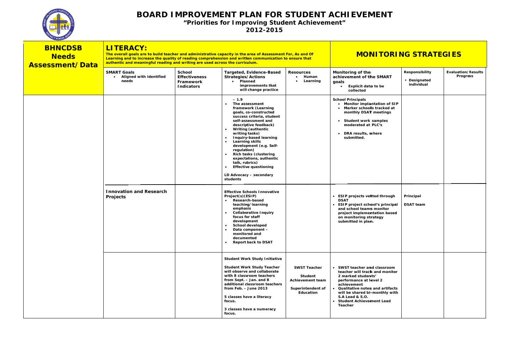

| <b>BHNCDSB</b><br><b>Needs</b><br><b>Assessment/Data</b> | <b>LITERACY:</b><br>The overall goals are to build teacher and administrative capacity in the area of Assessment For, As and Of<br>Learning and to increase the quality of reading comprehension and written communication to ensure that<br>authentic and meaningful reading and writing are used across the curriculum. | <b>MONITORING STRATEGIES</b>                                            |                                                                                                                                                                                                                                                                                                                                                                                                                                                                                                                                                                                                                                                                                                                                                                                                                                                |                                                                                      |                                                                                                                                                                                                                                                                                                                                                                                                             |                                              |                                       |
|----------------------------------------------------------|---------------------------------------------------------------------------------------------------------------------------------------------------------------------------------------------------------------------------------------------------------------------------------------------------------------------------|-------------------------------------------------------------------------|------------------------------------------------------------------------------------------------------------------------------------------------------------------------------------------------------------------------------------------------------------------------------------------------------------------------------------------------------------------------------------------------------------------------------------------------------------------------------------------------------------------------------------------------------------------------------------------------------------------------------------------------------------------------------------------------------------------------------------------------------------------------------------------------------------------------------------------------|--------------------------------------------------------------------------------------|-------------------------------------------------------------------------------------------------------------------------------------------------------------------------------------------------------------------------------------------------------------------------------------------------------------------------------------------------------------------------------------------------------------|----------------------------------------------|---------------------------------------|
|                                                          | <b>SMART Goals</b><br>• Aligned with identified<br>needs                                                                                                                                                                                                                                                                  | <b>School</b><br><b>Effectiveness</b><br>Framework<br><b>Indicators</b> | Targeted, Evidence-Based<br><b>Strategies/Actions</b><br>• Planned<br>improvements that<br>will change practice                                                                                                                                                                                                                                                                                                                                                                                                                                                                                                                                                                                                                                                                                                                                | <b>Resources</b><br>• Human<br>Learning                                              | Monitoring of the<br>achievement of the SMART<br>goals<br>Explicit data to be<br>$\bullet$<br>collected                                                                                                                                                                                                                                                                                                     | Responsibility<br>• Designated<br>individual | <b>Evaluation/Results</b><br>Progress |
|                                                          | <b>Innovation and Research</b><br>Projects                                                                                                                                                                                                                                                                                |                                                                         | $-1.9$<br>The assessment<br>framework (Learning<br>goals, co-constructed<br>success criteria, student<br>self-assessment and<br>descriptive feedback)<br><b>Writing (authentic</b><br>$\bullet$<br>writing tasks)<br>Inquiry-based learning<br>$\bullet$<br>$\bullet$<br>Learning skills<br>development (e.g. Self-<br>regulation)<br><b>Rich tasks (clustering</b><br>expectations, authentic<br>talk, rubrics)<br><b>Effective questioning</b><br>$\bullet$<br>LD Advocacy - secondary<br>students<br><b>Effective Schools Innovative</b><br>Project(s)(ESIP)<br><b>Research-based</b><br>teaching/learning<br>emphasis<br><b>Collaborative Inquiry</b><br>$\bullet$<br>focus for staff<br>development<br><b>School developed</b><br>$\bullet$<br>Data component -<br>monitored and<br>documented<br><b>Report back to DSAT</b><br>$\bullet$ |                                                                                      | <b>School Principals</b><br>• Monitor implantation of SIP<br>• Marker schoolls tracked at<br>monthly DSAT meetings<br>Student work samples<br>moderated at PLC's<br>• DRA results, where<br>submitted.<br><b>ESIP projects vetted through</b><br><b>DSAT</b><br>ESIP project school's principal<br>and school teams monitor<br>project implementation based<br>on monitoring strategy<br>submitted in plam. | Principal<br><b>DSAT team</b>                |                                       |
|                                                          |                                                                                                                                                                                                                                                                                                                           |                                                                         | <b>Student Work Study Initiative</b><br><b>Student Work Study Teacher</b><br>will observe and collaborate<br>with 8 classroom teachers<br>from Sept. - Jan. and 8<br>additional classroom teachers<br>from Feb. $-$ June 2013<br>5 classes have a literacy<br>focus.<br>3 classes have a numeracy<br>focus.                                                                                                                                                                                                                                                                                                                                                                                                                                                                                                                                    | <b>SWST Teacher</b><br>Student<br>Achievement team<br>Superintendent of<br>Education | • SWST teacher and classroom<br>teacher will track and monitor<br>2 marked students'<br>performance at level 2<br>achievement<br>Qualitative notes and artifacts<br>will be shared bi-monthly with<br><b>S.A Lead &amp; S.O.</b><br>• Student Achievement Lead<br>Teacher                                                                                                                                   |                                              |                                       |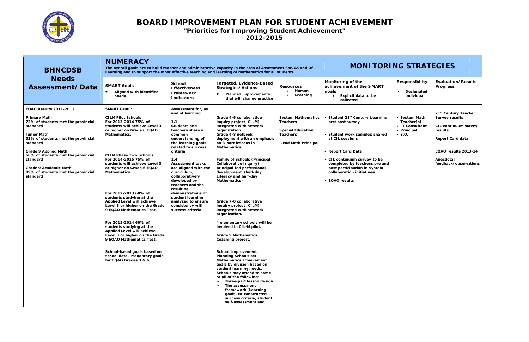

| <b>BHNCDSB</b>                                                                                                                                                                                                                                                                                                                             |                                                                                                                                                                                                                                                                                                                                                                                                                                                                                                                                                                                                                                                                                              |                                                                                                                                                                                                                                                                                                                                                                                                                                     | The overall goals are to build teacher and administrative capacity in the area of Assessment For, As and Of<br>Learning and to support the most effective teaching and learning of mathematics for all students.                                                                                                                                                                                                                                                                                                                                                                                                                                                                                                                                                                                                                                                                                                | <b>MONITORING STRATEGIES</b>                                                                                              |                                                                                                                                                                                                                                                                                           |                                                                                 |                                                                                                                                                                                       |
|--------------------------------------------------------------------------------------------------------------------------------------------------------------------------------------------------------------------------------------------------------------------------------------------------------------------------------------------|----------------------------------------------------------------------------------------------------------------------------------------------------------------------------------------------------------------------------------------------------------------------------------------------------------------------------------------------------------------------------------------------------------------------------------------------------------------------------------------------------------------------------------------------------------------------------------------------------------------------------------------------------------------------------------------------|-------------------------------------------------------------------------------------------------------------------------------------------------------------------------------------------------------------------------------------------------------------------------------------------------------------------------------------------------------------------------------------------------------------------------------------|-----------------------------------------------------------------------------------------------------------------------------------------------------------------------------------------------------------------------------------------------------------------------------------------------------------------------------------------------------------------------------------------------------------------------------------------------------------------------------------------------------------------------------------------------------------------------------------------------------------------------------------------------------------------------------------------------------------------------------------------------------------------------------------------------------------------------------------------------------------------------------------------------------------------|---------------------------------------------------------------------------------------------------------------------------|-------------------------------------------------------------------------------------------------------------------------------------------------------------------------------------------------------------------------------------------------------------------------------------------|---------------------------------------------------------------------------------|---------------------------------------------------------------------------------------------------------------------------------------------------------------------------------------|
| <b>Needs</b><br>Assessment/Data                                                                                                                                                                                                                                                                                                            | <b>SMART Goals</b><br>Aligned with identified<br>needs                                                                                                                                                                                                                                                                                                                                                                                                                                                                                                                                                                                                                                       | <b>School</b><br><b>Effectiveness</b><br>Framework<br><b>Indicators</b>                                                                                                                                                                                                                                                                                                                                                             | Targeted, Evidence-Based<br><b>Strategies/Actions</b><br><b>Planned improvements</b><br>that will change practice                                                                                                                                                                                                                                                                                                                                                                                                                                                                                                                                                                                                                                                                                                                                                                                               | <b>Resources</b><br>Human<br>$\bullet$<br>Learning<br>$\bullet$                                                           | Monitoring of the<br>achievement of the SMART<br>goals<br><b>Explicit data to be</b><br>$\bullet$<br>collected                                                                                                                                                                            | Responsibility<br>Designated<br>$\bullet$<br>individual                         | <b>Evaluation/Results</b><br><b>Progress</b>                                                                                                                                          |
| <b>EQAO Results 2011-2012</b><br><b>Primary Math</b><br>72% of students met the provincial<br>standard<br><b>Junior Math</b><br>53% of students met the provincial<br>standard<br><b>Grade 9 Applied Math</b><br>58% of students met the provincial<br>standard<br>Grade 9 Academic Math<br>89% of students met the provincial<br>standard | <b>SMART GOAL:</b><br><b>CILM Pilot Schools</b><br>For 2013-2014 75% of<br>students will achieve Level 3<br>or higher on Grade 6 EQAO<br>Mathematics.<br><b>CILM Phase Two Schools</b><br>For 2014-2015 75% of<br>students will achieve Level 3<br>or higher on Grade 6 EQAO<br>Mathematics.<br>For 2012-2013 60% of<br>students studying at the<br>Applied Level will achieve<br>Level 3 or higher on the Grade<br>9 EQAO Mathematics Test.<br>For 2013-2014 60% of<br>students studying at the<br><b>Applied Level will achieve</b><br>Level 3 or higher on the Grade<br>9 EQAO Mathematics Test.<br>School-based goals based on<br>school data. Mandatory goals<br>for EQAO Grades 3 & 6. | Assessment for, as<br>and of learning<br>1.1<br><b>Students and</b><br>teachers share a<br>common<br>understanding of<br>the learning goals<br>related to success<br>criteria.<br>1.4<br><b>Assessment tasks</b><br>are aligned with the<br>curriculum,<br>collaboratively<br>developed by<br>teachers and the<br>resulting<br>demonstrations of<br>student learning<br>analyzed to ensure<br>consistency with<br>success criteria. | Grade 4-6 collaborative<br>inquiry project (CILM)<br>integrated with network<br>organization.<br>Grade 4-8 netbook<br>deployment with an emphasis<br>on 3-part lessons in<br>Mathematics.<br><b>Family of Schools (Principal</b><br>Collaborative Inquiry)<br>principal-led professional<br>development (half-day<br>Literacy and half-day<br>Mathematics)<br>Grade 7-8 collaborative<br>inquiry project (CILM)<br>integrated with network<br>organization.<br>4 elementary schools will be<br>involved in CIL-M pilot.<br><b>Grade 9 Mathematics</b><br>Coaching project.<br><b>School Improvement</b><br><b>Planning Schools set</b><br>Mathematics achievement<br>goals by division based on<br>student learning needs.<br>Schools may attend to some<br>or all of the following:<br>Three-part lesson design<br>The assessment<br>framework (Learning<br>goals, co-constructed<br>success criteria, student | <b>System Mathematics</b><br><b>Teachers</b><br><b>Special Education</b><br><b>Teachers</b><br><b>Lead Math Principal</b> | • Student 21 <sup>st</sup> Century Learning<br>pre/post survey<br>• Student work samples shared<br>at CIL sessions<br>• Report Card Data<br>• CIL continuum survey to be<br>completed by teachers pre and<br>post participation in system<br>collaboration initiatives.<br>• EQAO results | • System Math<br>Teacher(s)<br>• IT Consultant<br>• Principal<br>$\bullet$ S.O. | 21 <sup>st</sup> Century Teacher<br><b>Survey results</b><br>CIL continuum survey<br>results<br><b>Report Card data</b><br>EQAO results 2013-14<br>Anecdotal<br>feedback/observations |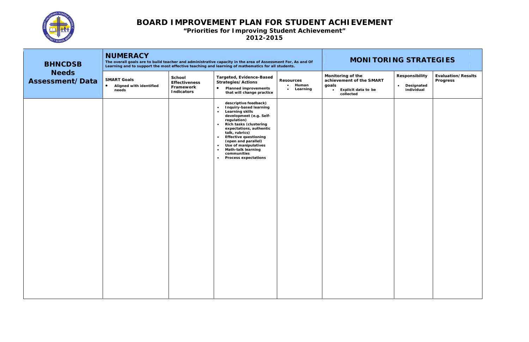

| <b>BHNCDSB</b>                  | <b>NUMERACY</b><br>The overall goals are to build teacher and administrative capacity in the area of Assessment For, As and Of<br>Learning and to support the most effective teaching and learning of mathematics for all students. |                                                                         |                                                                                                                                                                                                                                                                                                                                                                                                                                                               |                                           | <b>MONITORING STRATEGIES</b>                                                                                   |                                                                |                                              |  |
|---------------------------------|-------------------------------------------------------------------------------------------------------------------------------------------------------------------------------------------------------------------------------------|-------------------------------------------------------------------------|---------------------------------------------------------------------------------------------------------------------------------------------------------------------------------------------------------------------------------------------------------------------------------------------------------------------------------------------------------------------------------------------------------------------------------------------------------------|-------------------------------------------|----------------------------------------------------------------------------------------------------------------|----------------------------------------------------------------|----------------------------------------------|--|
| <b>Needs</b><br>Assessment/Data | <b>SMART Goals</b><br>Aligned with identified<br>$\bullet$<br>needs                                                                                                                                                                 | <b>School</b><br><b>Effectiveness</b><br>Framework<br><b>Indicators</b> | <b>Targeted, Evidence-Based</b><br><b>Strategies/Actions</b><br>$\bullet$<br><b>Planned improvements</b><br>that will change practice                                                                                                                                                                                                                                                                                                                         | <b>Resources</b><br>• Human<br>• Learning | Monitoring of the<br>achievement of the SMART<br>goals<br><b>Explicit data to be</b><br>$\bullet$<br>collected | <b>Responsibility</b><br>Designated<br>$\bullet$<br>individual | <b>Evaluation/Results</b><br><b>Progress</b> |  |
|                                 |                                                                                                                                                                                                                                     |                                                                         | descriptive feedback)<br><b>Inquiry-based learning</b><br>$\bullet$<br><b>Learning skills</b><br>$\bullet$<br>development (e.g. Self-<br>regulation)<br><b>Rich tasks (clustering</b><br>$\bullet$<br>expectations, authentic<br>talk, rubrics)<br><b>Effective questioning</b><br>$\bullet$<br>(open and parallel)<br>Use of manipulatives<br>$\bullet$<br><b>Math-talk learning</b><br>$\bullet$<br>communities<br><b>Process expectations</b><br>$\bullet$ |                                           |                                                                                                                |                                                                |                                              |  |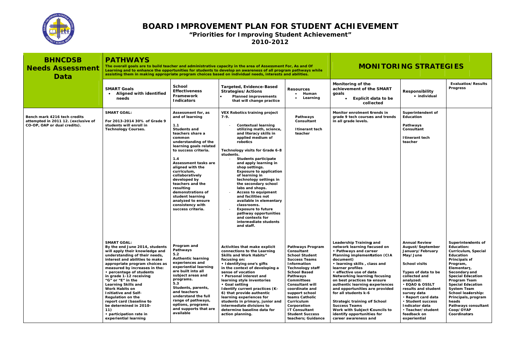

| <b>BHNCDSB</b><br><b>Needs Assessment</b><br>Data                                                   | <b>PATHWAYS</b><br>The overall goals are to build teacher and administrative capacity in the area of Assessment For, As and Of<br>Learning and to enhance the opportunities for students to develop an awareness of all program pathways while<br>assisting them in making appropriate program choices based on individual needs, interests and abilities.                                                                                                                                                                 |                                                                                                                                                                                                                                                                                                                                                                                                                           |                                                                                                                                                                                                                                                                                                                                                                                                                                                                                                                                                                                                                                | <b>MONITORING STRATEGIES</b>                                                                                                                                                                                                                                                                                                                                    |                                                                                                                                                                                                                                                                                                                                                                                                                                                                                                                              |                                                                                                                                                                                                                                                                                                                                           |                                                                                                                                                                                                                                                                                                                                           |
|-----------------------------------------------------------------------------------------------------|----------------------------------------------------------------------------------------------------------------------------------------------------------------------------------------------------------------------------------------------------------------------------------------------------------------------------------------------------------------------------------------------------------------------------------------------------------------------------------------------------------------------------|---------------------------------------------------------------------------------------------------------------------------------------------------------------------------------------------------------------------------------------------------------------------------------------------------------------------------------------------------------------------------------------------------------------------------|--------------------------------------------------------------------------------------------------------------------------------------------------------------------------------------------------------------------------------------------------------------------------------------------------------------------------------------------------------------------------------------------------------------------------------------------------------------------------------------------------------------------------------------------------------------------------------------------------------------------------------|-----------------------------------------------------------------------------------------------------------------------------------------------------------------------------------------------------------------------------------------------------------------------------------------------------------------------------------------------------------------|------------------------------------------------------------------------------------------------------------------------------------------------------------------------------------------------------------------------------------------------------------------------------------------------------------------------------------------------------------------------------------------------------------------------------------------------------------------------------------------------------------------------------|-------------------------------------------------------------------------------------------------------------------------------------------------------------------------------------------------------------------------------------------------------------------------------------------------------------------------------------------|-------------------------------------------------------------------------------------------------------------------------------------------------------------------------------------------------------------------------------------------------------------------------------------------------------------------------------------------|
|                                                                                                     | <b>SMART Goals</b><br><b>Aligned with identified</b><br>needs                                                                                                                                                                                                                                                                                                                                                                                                                                                              | <b>School</b><br><b>Effectiveness</b><br>Framework<br><b>Indicators</b>                                                                                                                                                                                                                                                                                                                                                   | <b>Targeted, Evidence-Based</b><br><b>Strategies/Actions</b><br><b>Planned improvements</b><br>that will change practice                                                                                                                                                                                                                                                                                                                                                                                                                                                                                                       | <b>Resources</b><br>Human<br>Learning<br>$\bullet$                                                                                                                                                                                                                                                                                                              | Monitoring of the<br>achievement of the SMART<br>goals<br>Explicit data to be<br>collected                                                                                                                                                                                                                                                                                                                                                                                                                                   | Responsibility<br>• individual                                                                                                                                                                                                                                                                                                            | <b>Evaluation/Results</b><br><b>Progress</b>                                                                                                                                                                                                                                                                                              |
| Bench mark 4216 tech credits<br>attempted in 2011 12. (exclusive of<br>CO-OP, OAP or dual credits). | <b>SMART GOAL:</b><br>For 2013-2014 30% of Grade 9<br>students will enroll in<br><b>Technology Courses.</b>                                                                                                                                                                                                                                                                                                                                                                                                                | Assessment for, as<br>and of learning<br>1.1<br><b>Students and</b><br>teachers share a<br>common<br>understanding of the<br>learning goals related<br>to success criteria.<br>1.4<br>Assessment tasks are<br>aligned with the<br>curriculum,<br>collaboratively<br>developed by<br>teachers and the<br>resulting<br>demonstrations of<br>student learning<br>analyzed to ensure<br>consistency with<br>success criteria. | <b>VEX Robotics training project</b><br>$7-9.$<br><b>Contextual learning</b><br>utilizing math, science,<br>and literacy skills in<br>applied medium of<br>robotics<br>Technology visits for Grade 6-8<br>students.<br>Students participate<br>and apply learning in<br>shop settings.<br><b>Exposure to application</b><br>of learning in<br>technology settings in<br>the secondary school<br>labs and shops.<br><b>Access to equipment</b><br>and facilities not<br>available in elementary<br>classrooms.<br><b>Exposure to future</b><br>pathway opportunities<br>and contexts for<br>intermediate students<br>and staff. | Pathways<br>Consultant<br>I tinerant tech<br>teacher                                                                                                                                                                                                                                                                                                            | Monitor enrolment trends in<br>grade 9 tech courses and trends<br>in all grade levels.                                                                                                                                                                                                                                                                                                                                                                                                                                       | Superintendent of<br>Education<br>Pathways<br>Consultant<br>Itinerant tech<br>teacher                                                                                                                                                                                                                                                     |                                                                                                                                                                                                                                                                                                                                           |
|                                                                                                     | <b>SMART GOAL:</b><br>By the end June 2014, students<br>will apply their knowledge and<br>understanding of their needs,<br>interest and abilities to make<br>appropriate program choices as<br>measured by increases in the:<br>• percentage of students<br>in grade 1-12 receiving<br>"G" or " $E$ " in the<br><b>Learning Skills and</b><br>Work Habits on<br>Initiative and Self-<br>Regulation on the<br>report card (baseline to<br>be determined in 2010-<br>11)<br>• participation rate in<br>experiential learning | Program and<br>Pathways<br>5.2<br><b>Authentic learning</b><br>experiences and<br>experiential learning<br>are built into all<br>subject areas and<br>programs.<br>5.3<br>Students, parents,<br>and teachers<br>understand the full<br>range of pathways,<br>options, programs<br>and supports that are<br>available                                                                                                      | Activities that make explicit<br>connections to the Learning<br><b>Skills and Work Habits"</b><br>focusing on:<br>• Identifying one's gifts<br>in the context of developing a<br>sense of vocation<br>• Personal interest and<br>learning style inventories<br>• Goal setting<br>I dentify current practices (K-<br>6) that provide authentic<br>learning experiences for<br>students in primary, junior and<br>intermediate divisions to<br>determine baseline data for<br>action planning.                                                                                                                                   | <b>Pathways Program</b><br>Consultant<br><b>School Student</b><br><b>Success Teams</b><br>Information<br>Technology staff<br><b>School Based</b><br>Pathways<br>Committees<br><b>Consultant will</b><br>coordinate and<br>support school<br>teams Catholic<br>Curriculum<br>Corporation<br><b>IT Consultant</b><br><b>Student Success</b><br>teachers; Guidance | Leadership Training and<br>network learning focused on<br>• Pathways and career<br><b>Planning implementation (CIA</b><br>document)<br>• learning skills, class and<br>learner profiles<br>• effective use of data<br>Networking learning focusing<br>on best practices to ensure<br>authentic learning experiences<br>and opportunities are provided<br>for all students k-6<br>Strategic training of School<br><b>Success Teams</b><br>Work with Subject Councils to<br>identify opportunities for<br>career awareness and | <b>Annual Review</b><br>August/September<br>January/February<br>May/June<br><b>School visits</b><br>Types of data to be<br>collected and<br>analyzed:<br><b>· EQAO &amp; OSSLT</b><br>results and student<br>survey data<br>• Report card data<br>· Student success<br>Indicator data<br>· Teacher/student<br>feedback on<br>experiential | Superintendents of<br>Education:<br>Curriculum, Special<br>Education<br>Principals of<br>Program,<br>Elementary,<br>Secondary and<br><b>Special Education</b><br>Program Team<br><b>Special Education</b><br><b>System Team</b><br>School leadership:<br>Principals, program<br>heads<br>Pathways consultant<br>Coop/OYAP<br>Coordinators |